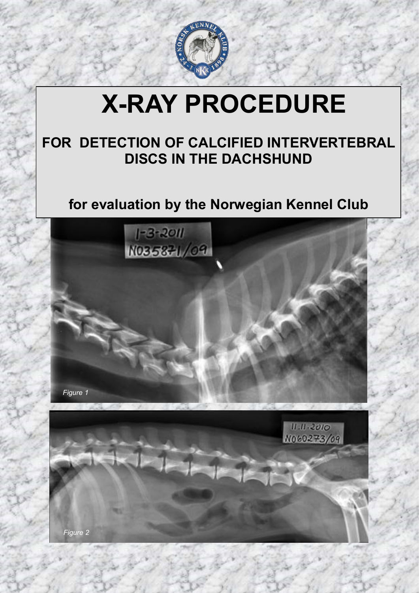

# **X-RAY PROCEDURE**

# **FOR DETECTION OF CALCIFIED INTERVERTEBRAL DISCS IN THE DACHSHUND**

# **for evaluation by the Norwegian Kennel Club**



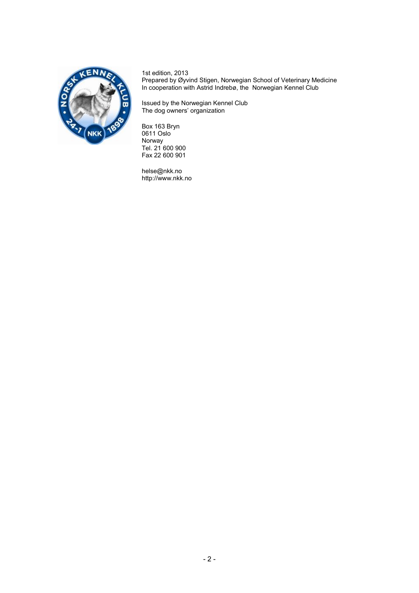

1st edition, 2013 Prepared by Øyvind Stigen, Norwegian School of Veterinary Medicine In cooperation with Astrid Indrebø, the Norwegian Kennel Club

Issued by the Norwegian Kennel Club The dog owners' organization

Box 163 Bryn 0611 Oslo Norway Tel. 21 600 900 Fax 22 600 901

helse@nkk.no http://www.nkk.no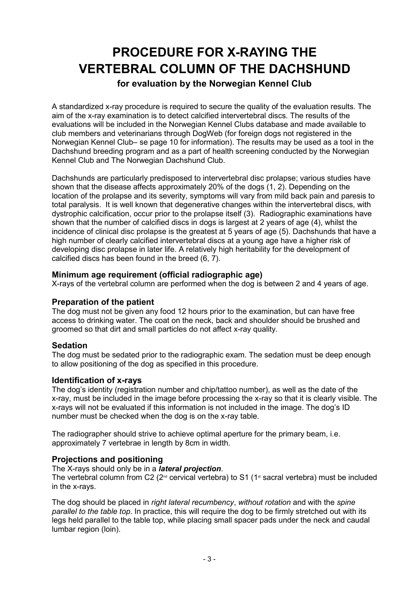# **PROCEDURE FOR X-RAYING THE VERTEBRAL COLUMN OF THE DACHSHUND**

# **for evaluation by the Norwegian Kennel Club**

A standardized x-ray procedure is required to secure the quality of the evaluation results. The aim of the x-ray examination is to detect calcified intervertebral discs. The results of the evaluations will be included in the Norwegian Kennel Clubs database and made available to club members and veterinarians through DogWeb (for foreign dogs not registered in the Norwegian Kennel Club– se page 10 for information). The results may be used as a tool in the Dachshund breeding program and as a part of health screening conducted by the Norwegian Kennel Club and The Norwegian Dachshund Club.

Dachshunds are particularly predisposed to intervertebral disc prolapse; various studies have shown that the disease affects approximately 20% of the dogs (1, 2). Depending on the location of the prolapse and its severity, symptoms will vary from mild back pain and paresis to total paralysis. It is well known that degenerative changes within the intervertebral discs, with dystrophic calcification, occur prior to the prolapse itself (3). Radiographic examinations have shown that the number of calcified discs in dogs is largest at 2 years of age (4), whilst the incidence of clinical disc prolapse is the greatest at 5 years of age (5). Dachshunds that have a high number of clearly calcified intervertebral discs at a young age have a higher risk of developing disc prolapse in later life. A relatively high heritability for the development of calcified discs has been found in the breed (6, 7).

### **Minimum age requirement (official radiographic age)**

X-rays of the vertebral column are performed when the dog is between 2 and 4 years of age.

#### **Preparation of the patient**

The dog must not be given any food 12 hours prior to the examination, but can have free access to drinking water. The coat on the neck, back and shoulder should be brushed and groomed so that dirt and small particles do not affect x-ray quality.

#### **Sedation**

The dog must be sedated prior to the radiographic exam. The sedation must be deep enough to allow positioning of the dog as specified in this procedure.

#### **Identification of x-rays**

The dog's identity (registration number and chip/tattoo number), as well as the date of the x-ray, must be included in the image before processing the x-ray so that it is clearly visible. The x-rays will not be evaluated if this information is not included in the image. The dog's ID number must be checked when the dog is on the x-ray table.

The radiographer should strive to achieve optimal aperture for the primary beam, i.e. approximately 7 vertebrae in length by 8cm in width.

#### **Projections and positioning**

The X-rays should only be in a *lateral projection*.

The vertebral column from C2 ( $2^{\omega}$  cervical vertebra) to S1 ( $1^{\omega}$  sacral vertebra) must be included in the x-rays.

The dog should be placed in *right lateral recumbency*, *without rotation* and with the *spine parallel to the table top*. In practice, this will require the dog to be firmly stretched out with its legs held parallel to the table top, while placing small spacer pads under the neck and caudal lumbar region (loin).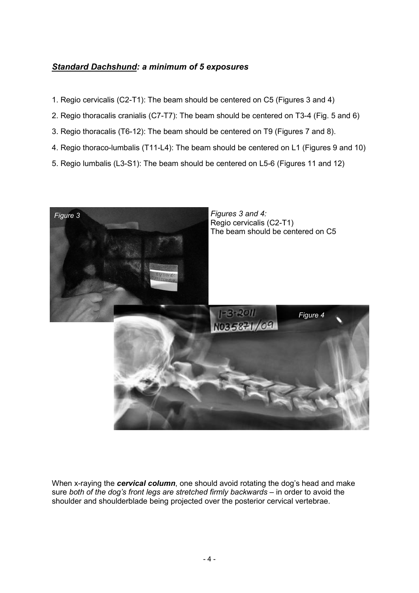### *Standard Dachshund: a minimum of 5 exposures*

- 1. Regio cervicalis (C2-T1): The beam should be centered on C5 (Figures 3 and 4)
- 2. Regio thoracalis cranialis (C7-T7): The beam should be centered on T3-4 (Fig. 5 and 6)
- 3. Regio thoracalis (T6-12): The beam should be centered on T9 (Figures 7 and 8).
- 4. Regio thoraco-lumbalis (T11-L4): The beam should be centered on L1 (Figures 9 and 10)
- 5. Regio lumbalis (L3-S1): The beam should be centered on L5-6 (Figures 11 and 12)



When x-raying the *cervical column*, one should avoid rotating the dog's head and make sure *both of the dog's front legs are stretched firmly backwards* – in order to avoid the shoulder and shoulderblade being projected over the posterior cervical vertebrae.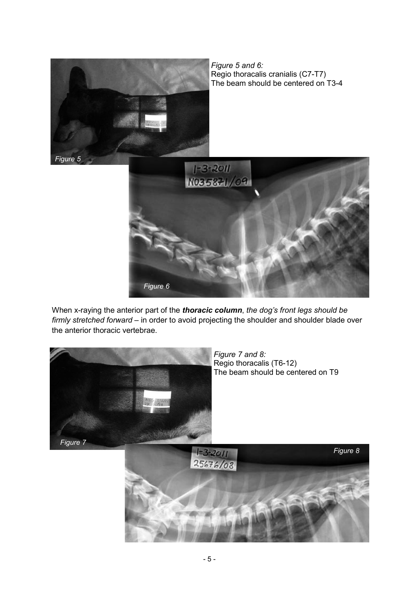

When x-raying the anterior part of the *thoracic column*, *the dog's front legs should be firmly stretched forward* – in order to avoid projecting the shoulder and shoulder blade over the anterior thoracic vertebrae.

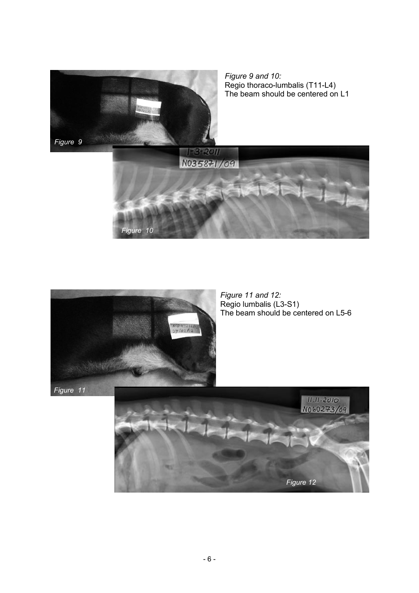



*Figure 11 and 12:*  Regio lumbalis (L3-S1) The beam should be centered on L5-6

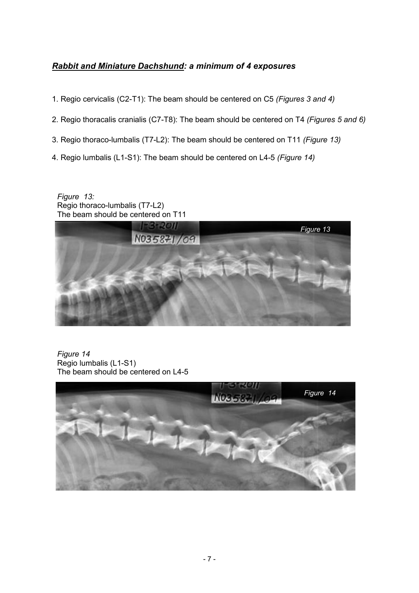# *Rabbit and Miniature Dachshund: a minimum of 4 exposures*

- 1. Regio cervicalis (C2-T1): The beam should be centered on C5 *(Figures 3 and 4)*
- 2. Regio thoracalis cranialis (C7-T8): The beam should be centered on T4 *(Figures 5 and 6)*
- 3. Regio thoraco-lumbalis (T7-L2): The beam should be centered on T11 *(Figure 13)*
- 4. Regio lumbalis (L1-S1): The beam should be centered on L4-5 *(Figure 14)*

*Figure 13:* Regio thoraco-lumbalis (T7-L2) The beam should be centered on T11



*Figure 14* Regio lumbalis (L1-S1) The beam should be centered on L4-5

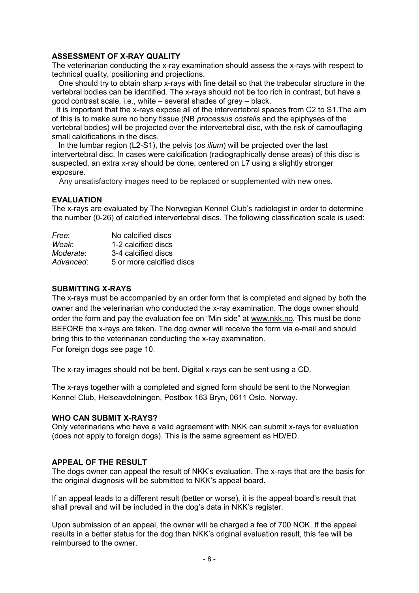#### **ASSESSMENT OF X-RAY QUALITY**

The veterinarian conducting the x-ray examination should assess the x-rays with respect to technical quality, positioning and projections.

 One should try to obtain sharp x-rays with fine detail so that the trabecular structure in the vertebral bodies can be identified. The x-rays should not be too rich in contrast, but have a good contrast scale, i.e., white – several shades of grey – black.

 It is important that the x-rays expose all of the intervertebral spaces from C2 to S1.The aim of this is to make sure no bony tissue (NB *processus costalis* and the epiphyses of the vertebral bodies) will be projected over the intervertebral disc, with the risk of camouflaging small calcifications in the discs.

 In the lumbar region (L2-S1), the pelvis (*os ilium*) will be projected over the last intervertebral disc. In cases were calcification (radiographically dense areas) of this disc is suspected, an extra x-ray should be done, centered on L7 using a slightly stronger exposure.

Any unsatisfactory images need to be replaced or supplemented with new ones.

#### **EVALUATION**

The x-rays are evaluated by The Norwegian Kennel Club's radiologist in order to determine the number (0-26) of calcified intervertebral discs. The following classification scale is used:

| No calcified discs        |
|---------------------------|
| 1-2 calcified discs       |
| 3-4 calcified discs       |
| 5 or more calcified discs |
|                           |

#### **SUBMITTING X-RAYS**

The x-rays must be accompanied by an order form that is completed and signed by both the owner and the veterinarian who conducted the x-ray examination. The dogs owner should order the form and pay the evaluation fee on "Min side" at [www.nkk.no.](http://www.nkk.no) This must be done BEFORE the x-rays are taken. The dog owner will receive the form via e-mail and should bring this to the veterinarian conducting the x-ray examination. For foreign dogs see page 10.

The x-ray images should not be bent. Digital x-rays can be sent using a CD.

The x-rays together with a completed and signed form should be sent to the Norwegian Kennel Club, Helseavdelningen, Postbox 163 Bryn, 0611 Oslo, Norway.

#### **WHO CAN SUBMIT X-RAYS?**

Only veterinarians who have a valid agreement with NKK can submit x-rays for evaluation (does not apply to foreign dogs). This is the same agreement as HD/ED.

#### **APPEAL OF THE RESULT**

The dogs owner can appeal the result of NKK's evaluation. The x-rays that are the basis for the original diagnosis will be submitted to NKK's appeal board.

If an appeal leads to a different result (better or worse), it is the appeal board's result that shall prevail and will be included in the dog's data in NKK's register.

Upon submission of an appeal, the owner will be charged a fee of 700 NOK. If the appeal results in a better status for the dog than NKK's original evaluation result, this fee will be reimbursed to the owner.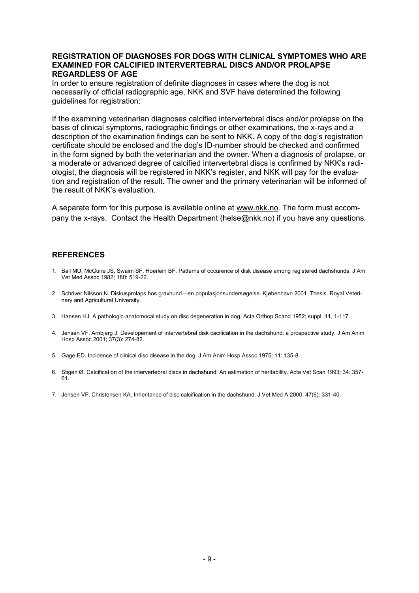#### **REGISTRATION OF DIAGNOSES FOR DOGS WITH CLINICAL SYMPTOMES WHO ARE EXAMINED FOR CALCIFIED INTERVERTEBRAL DISCS AND/OR PROLAPSE REGARDLESS OF AGE**

In order to ensure registration of definite diagnoses in cases where the dog is not necessarily of official radiographic age, NKK and SVF have determined the following quidelines for registration:

If the examining veterinarian diagnoses calcified intervertebral discs and/or prolapse on the basis of clinical symptoms, radiographic findings or other examinations, the x-rays and a description of the examination findings can be sent to NKK. A copy of the dog's registration certificate should be enclosed and the dog's ID-number should be checked and confirmed in the form signed by both the veterinarian and the owner. When a diagnosis of prolapse, or a moderate or advanced degree of calcified intervertebral discs is confirmed by NKK's radiologist, the diagnosis will be registered in NKK's register, and NKK will pay for the evaluation and registration of the result. The owner and the primary veterinarian will be informed of the result of NKK's evaluation.

A separate form for this purpose is available online at [www.nkk.no.](http://www.nkk.no) The form must accompany the x-rays. Contact the Health Department (helse@nkk.no) if you have any questions.

#### **REFERENCES**

- 1. Ball MU, McGuire JS, Swaim SF, Hoerlein BF. Patterns of occurence of disk disease among registered dachshunds. J Am Vet Med Assoc 1982; 180: 519-22.
- 2. Schriver Nilsson N. Diskusprolaps hos gravhund—en populasjonsundersøgelse. Kjøbenhavn 2001. Thesis. Royal Veterinary and Agricultural University.
- 3. Hansen HJ. A pathologic-anatomocal study on disc degeneration in dog. Acta Orthop Scand 1952; suppl. 11, 1-117.
- 4. Jensen VF, Arnbjerg J. Developement of intervertebral disk cacification in the dachshund: a prospective study. J Am Anim Hosp Assoc 2001; 37(3): 274-82.
- 5. Gage ED. Incidence of clinical disc disease in the dog. J Am Anim Hosp Assoc 1975; 11: 135-8.
- 6. Stigen Ø. Calcification of the intervertebral discs in dachshund: An estimation of heritability. Acta Vet Scan 1993; 34: 357- 61.
- 7. Jensen VF, Christensen KA. Inheritance of disc calcification in the dachshund. J Vet Med A 2000; 47(6): 331-40.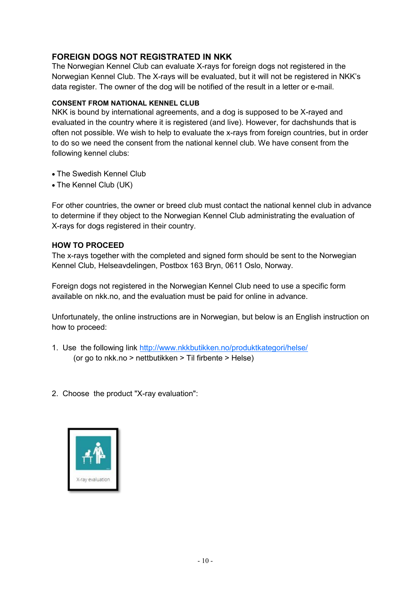### **FOREIGN DOGS NOT REGISTRATED IN NKK**

The Norwegian Kennel Club can evaluate X-rays for foreign dogs not registered in the Norwegian Kennel Club. The X-rays will be evaluated, but it will not be registered in NKK's data register. The owner of the dog will be notified of the result in a letter or e-mail.

#### **CONSENT FROM NATIONAL KENNEL CLUB**

NKK is bound by international agreements, and a dog is supposed to be X-rayed and evaluated in the country where it is registered (and live). However, for dachshunds that is often not possible. We wish to help to evaluate the x-rays from foreign countries, but in order to do so we need the consent from the national kennel club. We have consent from the following kennel clubs:

- The Swedish Kennel Club
- The Kennel Club (UK)

For other countries, the owner or breed club must contact the national kennel club in advance to determine if they object to the Norwegian Kennel Club administrating the evaluation of X-rays for dogs registered in their country.

#### **HOW TO PROCEED**

The x-rays together with the completed and signed form should be sent to the Norwegian Kennel Club, Helseavdelingen, Postbox 163 Bryn, 0611 Oslo, Norway.

Foreign dogs not registered in the Norwegian Kennel Club need to use a specific form available on nkk.no, and the evaluation must be paid for online in advance.

Unfortunately, the online instructions are in Norwegian, but below is an English instruction on how to proceed:

- 1. Use the following link <http://www.nkkbutikken.no/produktkategori/helse/> (or go to nkk.no > nettbutikken > Til firbente > Helse)
- 2. Choose the product "X-ray evaluation":

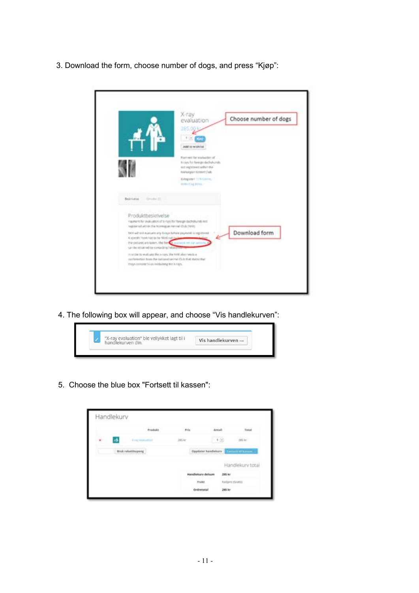3. Download the form, choose number of dogs, and press "Kjøp":

|                                                                                    | X-ray<br>evaluation<br>285.00                                                                                            | Choose number of dogs |
|------------------------------------------------------------------------------------|--------------------------------------------------------------------------------------------------------------------------|-----------------------|
|                                                                                    | $1 + 1$<br><b>AM 10 Wahrint</b><br>Payment for evaluation of                                                             |                       |
|                                                                                    | Koya for hereign decisionals.<br>earl registrated with it the<br>footwegten Kinnent Dub.<br><b>EDepoted 12 Education</b> |                       |
| Beskriving Critics III.                                                            | million ag bona."                                                                                                        |                       |
| Produktbeskrivelse<br>registered within the Normalian termel (2ub (1600)           | Kayment for exaluation of a root for foreign dackdrunds not                                                              |                       |
| A specific form has be for Nind out in<br>can be equativel by contacting helive to | 1901 will ent evaluate any 30 out before payment is registered<br>the plebares are spiken. The form a looking on our a   | Download form         |
| Steps consuled by advertisining the lockey.                                        | minider to enablets the nears. She half also needs a<br>configuration from the catcored second (Sub that states that     |                       |

4. The following box will appear, and choose "Vis handlekurven":



5. Choose the blue box "Fortsett til kassen":

|   | Handlekurv        |                             |          |        |                                               |                |                  |
|---|-------------------|-----------------------------|----------|--------|-----------------------------------------------|----------------|------------------|
|   |                   |                             | Produkt. | Pris   | Aricalt                                       |                | <b>Total</b>     |
| × |                   | <b>British Institutions</b> |          | 385 kr |                                               | $+$ (ii)       | $-1054r$         |
|   | Bruk rabattkupang |                             |          |        |                                               |                |                  |
|   |                   |                             |          |        |                                               |                |                  |
|   |                   |                             |          |        |                                               |                | Handlekurv total |
|   |                   |                             |          |        | <b>CONTRACTOR</b><br><b>Handlekury delsum</b> | 285 kr         |                  |
|   |                   |                             |          |        | 854 SHR (789 MK) 8<br>Frakt:                  | Tastyns (Srim) |                  |